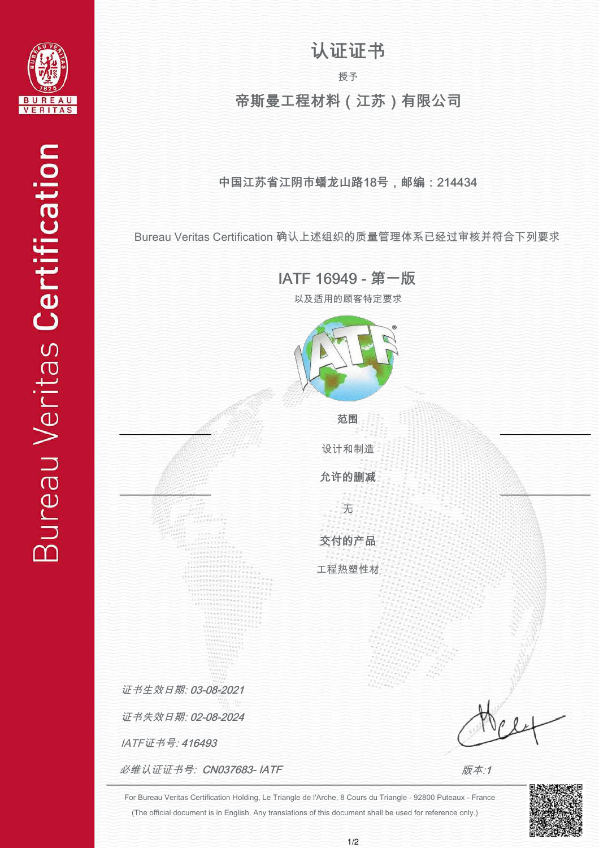

## 认证证书

授予

## 帝斯曼工程材料(江苏)有限公司

#### 中国江苏省江阴市蟠龙山路18号,邮编:214434

Bureau Veritas Certification 确认上述组织的质量管理体系已经过审核并符合下列要求

IATF 16949 - 第一版

以及适用的顾客特定要求



范围

无 允许的删减 设计和制造

交付的产品

工程热塑性材

IATF证书号: 416493 证书失效日期: 02-08-2024 证书生效日期: 03-08-2021

必维认证证书号: CN037683- IATF

j j  $\ddot{ }$  $\ddot{ }$  $\ddot{ }$  $\ddot{\phantom{a}}$ j j İ

版本:1

(The official document is in English. Any translations of this document shall be used for reference only.) For Bureau Veritas Certification Holding, Le Triangle de l'Arche, 8 Cours du Triangle - 92800 Puteaux - France

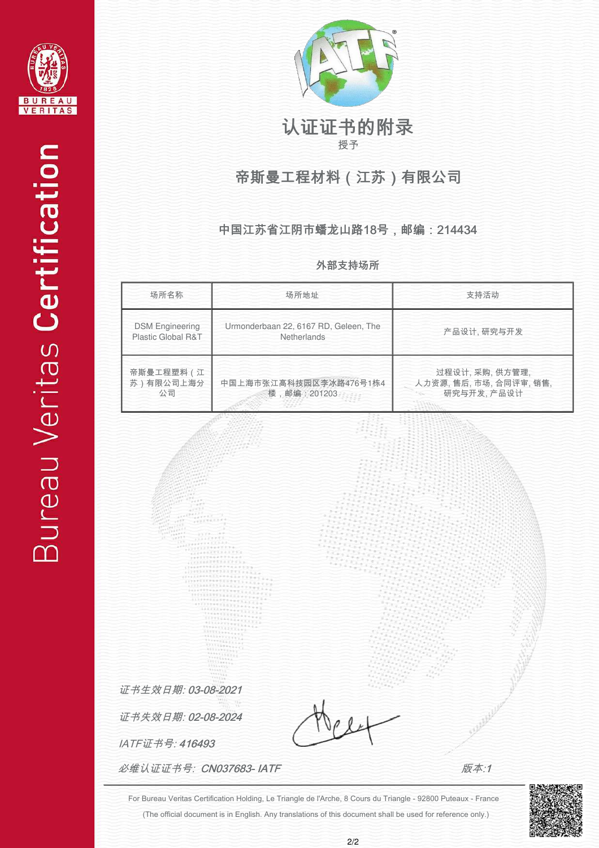



# 认证证书的附录

授予

## 帝斯曼工程材料(江苏)有限公司

#### 中国江苏省江阴市蟠龙山路18号,邮编:214434

外部支持场所



(The official document is in English. Any translations of this document shall be used for reference only.) For Bureau Veritas Certification Holding, Le Triangle de l'Arche, 8 Cours du Triangle - 92800 Puteaux - France



 $\ddot{ }$  $\ddot{ }$  $\ddot{ }$  $\ddot{\phantom{a}}$ j j İ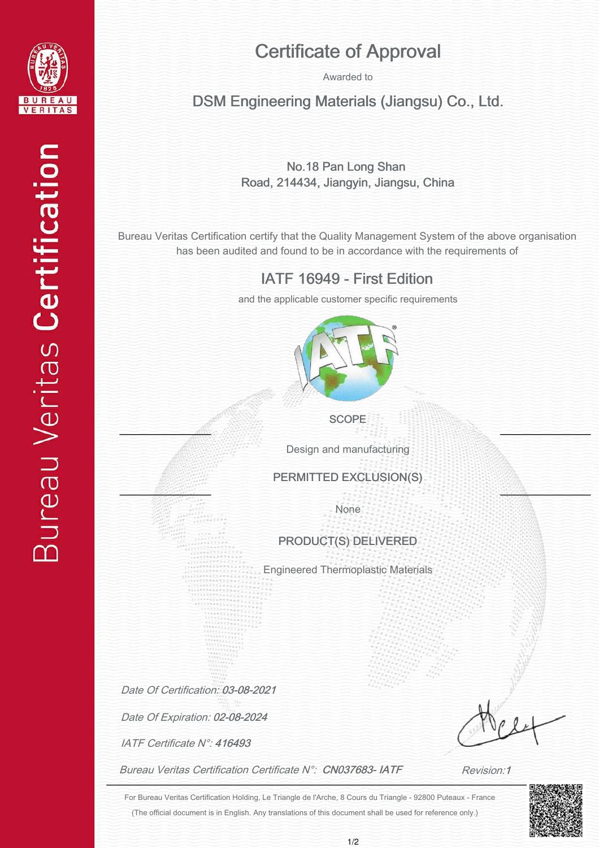

## Certificate of Approval

Awarded to

### DSM Engineering Materials (Jiangsu) Co., Ltd.

#### No.18 Pan Long Shan Road, 214434, Jiangyin, Jiangsu, China

Bureau Veritas Certification certify that the Quality Management System of the above organisation has been audited and found to be in accordance with the requirements of

### IATF 16949 - First Edition

and the applicable customer specific requirements



**SCOPE** 

Design and manufacturing

PERMITTED EXCLUSION(S)

None

#### PRODUCT(S) DELIVERED

Engineered Thermoplastic Materials

Date Of Certification: 03-08-2021

Date Of Expiration: 02-08-2024

IATF Certificate N°: 416493

Bureau Veritas Certification Certificate N°: CN037683-IATF

j j j ļ j j j

Revision:1

(The official document is in English. Any translations of this document shall be used for reference only.) For Bureau Veritas Certification Holding, Le Triangle de l'Arche, 8 Cours du Triangle - 92800 Puteaux - France